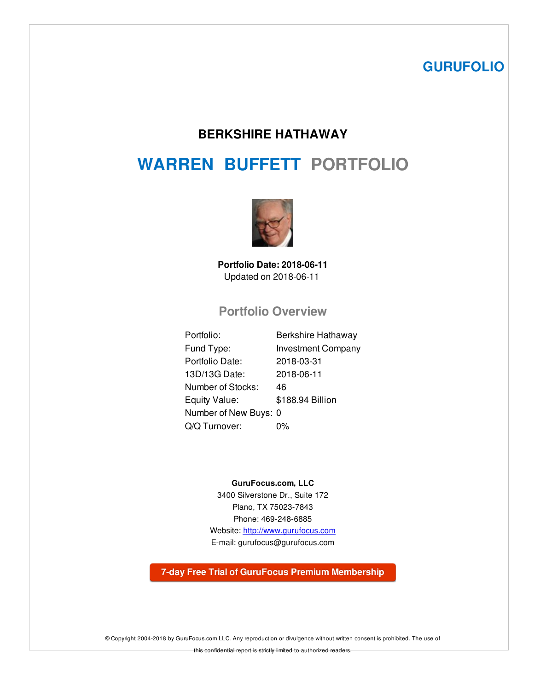### **GURUFOLIO**

### **BERKSHIRE HATHAWAY**

# **WARREN BUFFETT PORTFOLIO**



**Portfolio Date: 2018-06-11** Updated on 2018-06-11

### **Portfolio Overview**

| Portfolio:            | Berkshire Hathaway        |
|-----------------------|---------------------------|
| Fund Type:            | <b>Investment Company</b> |
| Portfolio Date:       | 2018-03-31                |
| 13D/13G Date:         | 2018-06-11                |
| Number of Stocks:     | 46                        |
| Equity Value:         | \$188.94 Billion          |
| Number of New Buys: 0 |                           |
| Q/Q Turnover:         | በ%                        |

#### **GuruFocus.com, LLC**

3400 Silverstone Dr., Suite 172 Plano, TX 75023-7843 Phone: 469-248-6885 Website: [http://www.gurufocus.com](http://www.gurufocus.com/) E-mail: gurufocus@gurufocus.com

### **7-day Free Trial of GuruFocus Premium [Membership](http://www.gurufocus.com/membership/upgrade.php?ref=pdf)**

© Copyright 2004-2018 by GuruFocus.com LLC. Any reproduction or divulgence without written consent is prohibited. The use of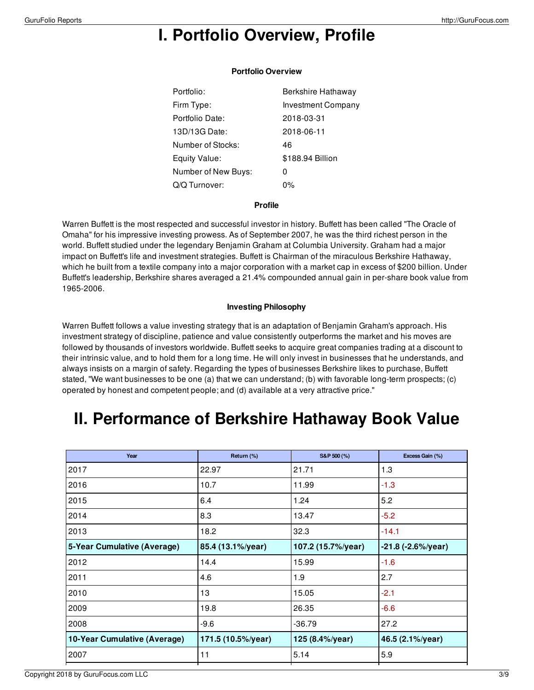# **I. Portfolio Overview, Profile**

| Portfolio:          | Berkshire Hathaway        |
|---------------------|---------------------------|
| Firm Type:          | <b>Investment Company</b> |
| Portfolio Date:     | 2018-03-31                |
| 13D/13G Date:       | 2018-06-11                |
| Number of Stocks:   | 46                        |
| Equity Value:       | \$188.94 Billion          |
| Number of New Buys: | 0                         |
| Q/Q Turnover:       | $0\%$                     |
|                     |                           |

### **Portfolio Overview**

#### **Profile**

Warren Buffett is the most respected and successful investor in history. Buffett has been called "The Oracle of Omaha" for his impressive investing prowess. As of September 2007, he was the third richest person in the world. Buffett studied under the legendary Benjamin Graham at Columbia University. Graham had a major impact on Buffett's life and investment strategies. Buffett is Chairman of the miraculous Berkshire Hathaway, which he built from a textile company into a major corporation with a market cap in excess of \$200 billion. Under Buffett's leadership, Berkshire shares averaged a 21.4% compounded annual gain in per-share book value from 1965-2006.

### **Investing Philosophy**

Warren Buffett follows a value investing strategy that is an adaptation of Benjamin Graham's approach. His investment strategy of discipline, patience and value consistently outperforms the market and his moves are followed by thousands of investors worldwide. Buffett seeks to acquire great companies trading at a discount to their intrinsic value, and to hold them for a long time. He will only invest in businesses that he understands, and always insists on a margin of safety. Regarding the types of businesses Berkshire likes to purchase, Buffett stated, "We want businesses to be one (a) that we can understand; (b) with favorable long-term prospects; (c) operated by honest and competent people; and (d) available at a very attractive price."

## **II. Performance of Berkshire Hathaway Book Value**

| Year                         | Return (%)         | S&P 500 (%)        | Excess Gain (%)           |
|------------------------------|--------------------|--------------------|---------------------------|
| 2017                         | 22.97              | 21.71              | 1.3                       |
| 2016                         | 10.7               | 11.99              | $-1.3$                    |
| 2015                         | 6.4                | 1.24               | 5.2                       |
| 2014                         | 8.3                | 13.47              | $-5.2$                    |
| 2013                         | 18.2               | 32.3               | $-14.1$                   |
| 5-Year Cumulative (Average)  | 85.4 (13.1%/year)  | 107.2 (15.7%/year) | $-21.8$ ( $-2.6\%$ /year) |
| 2012                         | 14.4               | 15.99              | $-1.6$                    |
| 2011                         | 4.6                | 1.9                | 2.7                       |
| 2010                         | 13                 | 15.05              | $-2.1$                    |
| 2009                         | 19.8               | 26.35              | $-6.6$                    |
| 2008                         | $-9.6$             | $-36.79$           | 27.2                      |
| 10-Year Cumulative (Average) | 171.5 (10.5%/year) | 125 (8.4%/year)    | 46.5 (2.1%/year)          |
| 2007                         | 11                 | 5.14               | 5.9                       |
|                              |                    |                    |                           |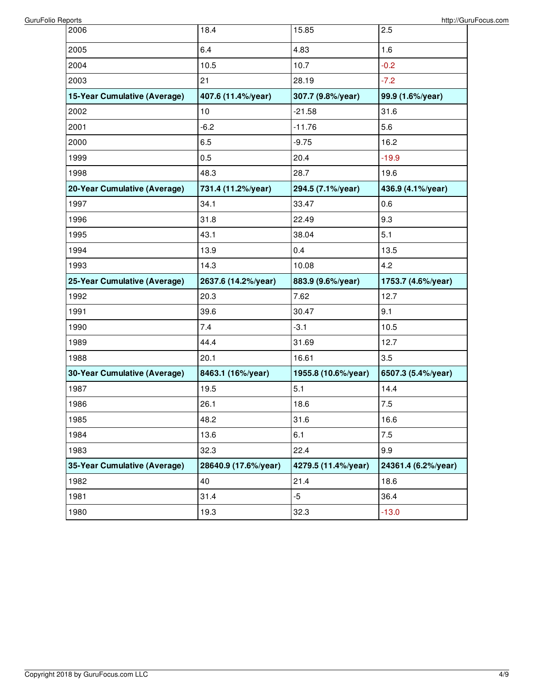| GuruFolio Reports            |                      |                     | http://GuruFocus.com |
|------------------------------|----------------------|---------------------|----------------------|
| 2006                         | 18.4                 | 15.85               | 2.5                  |
| 2005                         | 6.4                  | 4.83                | 1.6                  |
| 2004                         | 10.5                 | 10.7                | $-0.2$               |
| 2003                         | 21                   | 28.19               | $-7.2$               |
| 15-Year Cumulative (Average) | 407.6 (11.4%/year)   | 307.7 (9.8%/year)   | 99.9 (1.6%/year)     |
| 2002                         | 10                   | $-21.58$            | 31.6                 |
| 2001                         | $-6.2$               | $-11.76$            | 5.6                  |
| 2000                         | 6.5                  | $-9.75$             | 16.2                 |
| 1999                         | 0.5                  | 20.4                | $-19.9$              |
| 1998                         | 48.3                 | 28.7                | 19.6                 |
| 20-Year Cumulative (Average) | 731.4 (11.2%/year)   | 294.5 (7.1%/year)   | 436.9 (4.1%/year)    |
| 1997                         | 34.1                 | 33.47               | 0.6                  |
| 1996                         | 31.8                 | 22.49               | 9.3                  |
| 1995                         | 43.1                 | 38.04               | 5.1                  |
| 1994                         | 13.9                 | 0.4                 | 13.5                 |
| 1993                         | 14.3                 | 10.08               | 4.2                  |
| 25-Year Cumulative (Average) | 2637.6 (14.2%/year)  | 883.9 (9.6%/year)   | 1753.7 (4.6%/year)   |
| 1992                         | 20.3                 | 7.62                | 12.7                 |
| 1991                         | 39.6                 | 30.47               | 9.1                  |
| 1990                         | 7.4                  | $-3.1$              | 10.5                 |
| 1989                         | 44.4                 | 31.69               | 12.7                 |
| 1988                         | 20.1                 | 16.61               | 3.5                  |
| 30-Year Cumulative (Average) | 8463.1 (16%/year)    | 1955.8 (10.6%/year) | 6507.3 (5.4%/year)   |
| 1987                         | 19.5                 | 5.1                 | 14.4                 |
| 1986                         | 26.1                 | 18.6                | $7.5$                |
| 1985                         | 48.2                 | 31.6                | 16.6                 |
| 1984                         | 13.6                 | 6.1                 | $7.5\,$              |
| 1983                         | 32.3                 | 22.4                | 9.9                  |
| 35-Year Cumulative (Average) | 28640.9 (17.6%/year) | 4279.5 (11.4%/year) | 24361.4 (6.2%/year)  |
| 1982                         | 40                   | 21.4                | 18.6                 |
|                              | 31.4                 | $-5$                | 36.4                 |
| 1981                         |                      |                     |                      |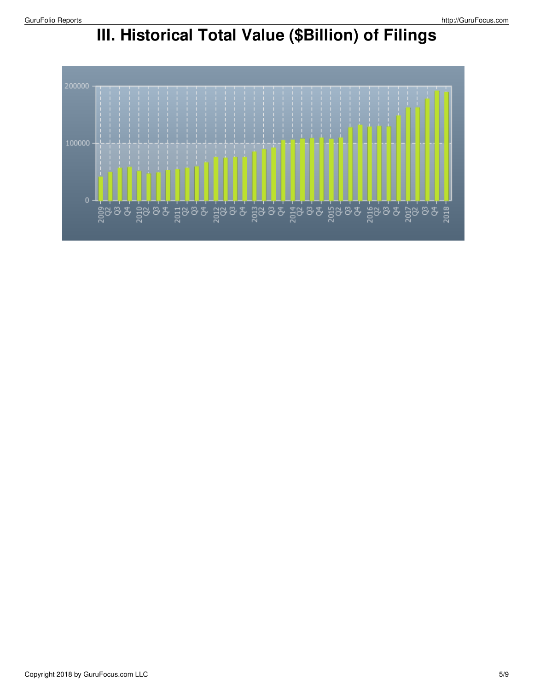

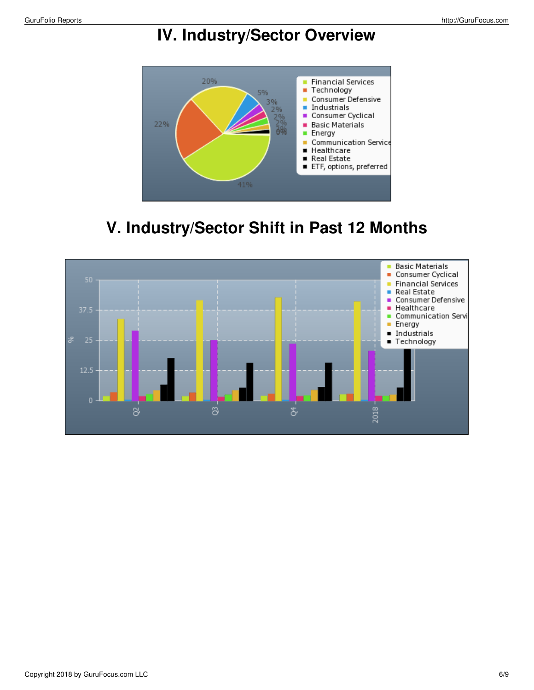# **IV. Industry/Sector Overview**



# **V. Industry/Sector Shift in Past 12 Months**

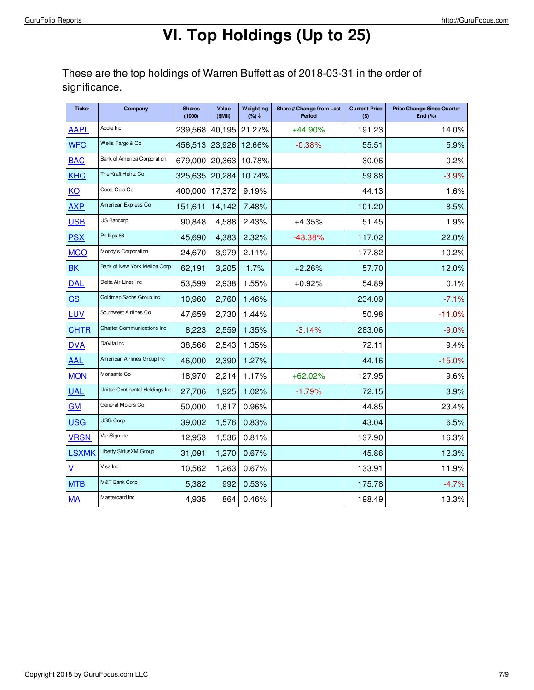# **VI. Top Holdings (Up to 25)**

These are the top holdings of Warren Buffett as of 2018-03-31 in the order of significance.

| <b>Ticker</b>             | Company                         | <b>Shares</b><br>(1000) | Value<br>(SMil) | Weighting<br>$(%) \downarrow$ | Share # Change from Last<br>Period | <b>Current Price</b><br>$($ \$) | <b>Price Change Since Quarter</b><br>End (%) |
|---------------------------|---------------------------------|-------------------------|-----------------|-------------------------------|------------------------------------|---------------------------------|----------------------------------------------|
| <b>AAPL</b>               | Apple Inc                       | 239,568                 | 40,195          | 21.27%                        | $+44.90\%$                         | 191.23                          | 14.0%                                        |
| <b>WFC</b>                | Wells Fargo & Co                | 456,513 23,926 12.66%   |                 |                               | $-0.38%$                           | 55.51                           | 5.9%                                         |
| <b>BAC</b>                | Bank of America Corporation     | 679,000                 |                 | 20,363 10.78%                 |                                    | 30.06                           | 0.2%                                         |
| <b>KHC</b>                | The Kraft Heinz Co              | 325,635 20,284          |                 | 10.74%                        |                                    | 59.88                           | $-3.9%$                                      |
| <b>KO</b>                 | Coca-Cola Co                    | 400,000                 | 17,372          | 9.19%                         |                                    | 44.13                           | 1.6%                                         |
| <b>AXP</b>                | American Express Co             | 151,611   14,142        |                 | 7.48%                         |                                    | 101.20                          | 8.5%                                         |
| <b>USB</b>                | US Bancorp                      | 90,848                  | 4,588           | 2.43%                         | $+4.35%$                           | 51.45                           | 1.9%                                         |
| <b>PSX</b>                | Phillips 66                     | 45,690                  | 4,383           | 2.32%                         | $-43.38%$                          | 117.02                          | 22.0%                                        |
| <b>MCO</b>                | Moody's Corporation             | 24,670                  | 3,979           | 2.11%                         |                                    | 177.82                          | 10.2%                                        |
| B <sub>K</sub>            | Bank of New York Mellon Corp    | 62,191                  | 3,205           | 1.7%                          | $+2.26%$                           | 57.70                           | 12.0%                                        |
| <b>DAL</b>                | Delta Air Lines Inc             | 53,599                  | 2,938           | 1.55%                         | $+0.92%$                           | 54.89                           | 0.1%                                         |
| $\underline{\mathsf{GS}}$ | Goldman Sachs Group Inc         | 10,960                  | 2,760           | 1.46%                         |                                    | 234.09                          | $-7.1%$                                      |
| <b>LUV</b>                | Southwest Airlines Co           | 47,659                  | 2,730           | 1.44%                         |                                    | 50.98                           | $-11.0%$                                     |
| <b>CHTR</b>               | Charter Communications Inc      | 8,223                   | 2,559           | 1.35%                         | $-3.14%$                           | 283.06                          | $-9.0%$                                      |
| <b>DVA</b>                | DaVita Inc                      | 38,566                  | 2,543           | 1.35%                         |                                    | 72.11                           | 9.4%                                         |
| <u>AAL</u>                | American Airlines Group Inc     | 46,000                  | 2,390           | 1.27%                         |                                    | 44.16                           | $-15.0%$                                     |
| <b>MON</b>                | Monsanto Co                     | 18,970                  | 2,214           | 1.17%                         | $+62.02%$                          | 127.95                          | 9.6%                                         |
| <b>UAL</b>                | United Continental Holdings Inc | 27,706                  | 1,925           | 1.02%                         | $-1.79%$                           | 72.15                           | 3.9%                                         |
| GM                        | General Motors Co               | 50,000                  | 1,817           | 0.96%                         |                                    | 44.85                           | 23.4%                                        |
| <b>USG</b>                | <b>USG Corp</b>                 | 39,002                  | 1,576           | 0.83%                         |                                    | 43.04                           | 6.5%                                         |
| <b>VRSN</b>               | VeriSign Inc                    | 12,953                  | 1,536           | 0.81%                         |                                    | 137.90                          | 16.3%                                        |
| <b>LSXMK</b>              | Liberty Sirius XM Group         | 31,091                  | 1,270           | 0.67%                         |                                    | 45.86                           | 12.3%                                        |
| $\underline{\mathsf{v}}$  | Visa Inc                        | 10,562                  | 1,263           | 0.67%                         |                                    | 133.91                          | 11.9%                                        |
| <b>MTB</b>                | M&T Bank Corp                   | 5,382                   | 992             | 0.53%                         |                                    | 175.78                          | $-4.7%$                                      |
| $\underline{MA}$          | Mastercard Inc                  | 4,935                   | 864             | 0.46%                         |                                    | 198.49                          | 13.3%                                        |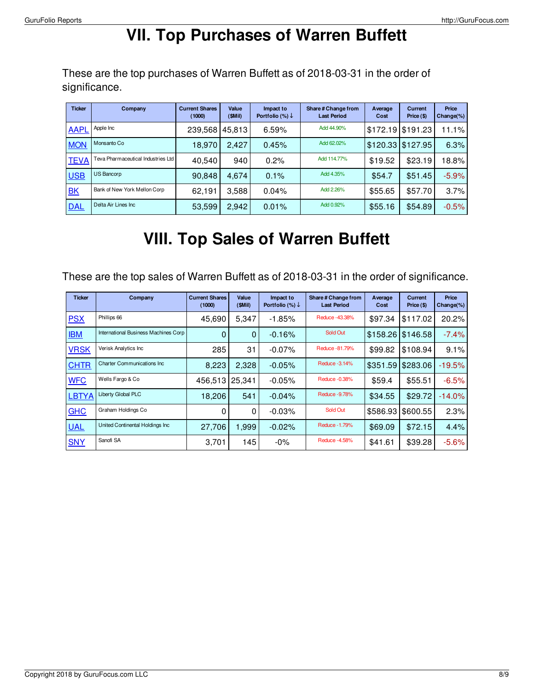# **VII. Top Purchases of Warren Buffett**

These are the top purchases of Warren Buffett as of 2018-03-31 in the order of significance.

| <b>Ticker</b>             | Company                            | <b>Current Shares</b><br>(1000) | Value<br>(SMil) | Impact to<br>Portfolio $(\%) \downarrow$ | Share # Change from<br><b>Last Period</b> | Average<br>Cost | Current<br>Price (\$) | Price<br>Change(%) |
|---------------------------|------------------------------------|---------------------------------|-----------------|------------------------------------------|-------------------------------------------|-----------------|-----------------------|--------------------|
| <b>AAPL</b>               | Apple Inc                          | 239,568 45,813                  |                 | 6.59%                                    | Add 44,90%                                | \$172.19        | \$191.23              | 11.1%              |
| <b>MON</b>                | Monsanto Co                        | 18,970                          | 2.427           | 0.45%                                    | Add 62.02%                                | \$120.33        | \$127.95              | 6.3%               |
| <b>TEVA</b>               | Teva Pharmaceutical Industries Ltd | 40,540                          | 940             | 0.2%                                     | Add 114.77%                               | \$19.52         | \$23.19               | 18.8%              |
| <b>USB</b>                | <b>US Bancorp</b>                  | 90,848                          | 4.674           | 0.1%                                     | Add 4.35%                                 | \$54.7          | \$51.45               | $-5.9%$            |
| $\underline{\mathsf{BK}}$ | Bank of New York Mellon Corp       | 62,191                          | 3,588           | 0.04%                                    | Add 2.26%                                 | \$55.65         | \$57.70               | 3.7%               |
| <b>DAL</b>                | Delta Air Lines Inc                | 53,599                          | 2,942           | 0.01%                                    | Add 0.92%                                 | \$55.16         | \$54.89               | $-0.5%$            |

# **VIII. Top Sales of Warren Buffett**

These are the top sales of Warren Buffett as of 2018-03-31 in the order of significance.

| <b>Ticker</b> | Company                              | <b>Current Shares</b><br>(1000) | Value<br>(SMil) | Impact to<br>Portfolio $(\%) \downarrow$ | Share # Change from<br><b>Last Period</b> | Average<br>Cost | Current<br>Price (\$) | Price<br>$Change(\%)$ |
|---------------|--------------------------------------|---------------------------------|-----------------|------------------------------------------|-------------------------------------------|-----------------|-----------------------|-----------------------|
| <b>PSX</b>    | Phillips 66                          | 45,690                          | 5,347           | $-1.85%$                                 | Reduce - 43.38%                           | \$97.34         | \$117.02              | 20.2%                 |
| <b>IBM</b>    | International Business Machines Corp | 0                               | 0               | $-0.16%$                                 | Sold Out                                  | \$158.26        | \$146.58              | $-7.4\%$              |
| <b>VRSK</b>   | Verisk Analytics Inc                 | 285                             | 31              | $-0.07\%$                                | Reduce - 81.79%                           | \$99.82         | \$108.94              | 9.1%                  |
| <b>CHTR</b>   | <b>Charter Communications Inc.</b>   | 8.223                           | 2,328           | $-0.05%$                                 | Reduce - 3.14%                            | \$351.59        | \$283.06              | $-19.5%$              |
| <b>WFC</b>    | Wells Fargo & Co                     | 456.513                         | 25.341          | $-0.05%$                                 | Reduce - 0.38%                            | \$59.4          | \$55.51               | $-6.5%$               |
| LBTYA         | Liberty Global PLC                   | 18,206                          | 541             | $-0.04%$                                 | Reduce - 9.78%                            | \$34.55         | \$29.72               | $-14.0%$              |
| <b>GHC</b>    | Graham Holdings Co                   | 0                               | 0               | $-0.03%$                                 | Sold Out                                  | \$586.93        | \$600.55              | 2.3%                  |
| <b>UAL</b>    | United Continental Holdings Inc.     | 27.706                          | 1.999           | $-0.02%$                                 | Reduce - 1.79%                            | \$69.09         | \$72.15               | 4.4%                  |
| <b>SNY</b>    | Sanofi SA                            | 3,701                           | 145             | $-0\%$                                   | Reduce - 4.58%                            | \$41.61         | \$39.28               | $-5.6\%$              |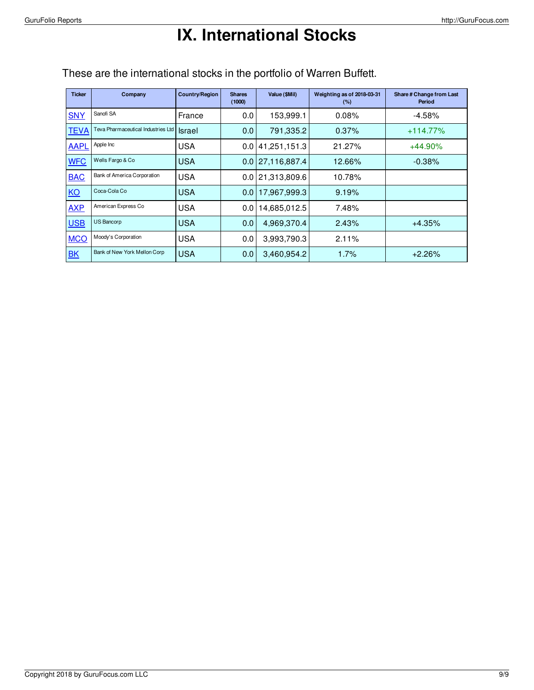# **IX. International Stocks**

| <b>Ticker</b>             | Company                            | <b>Country/Region</b> | <b>Shares</b><br>(1000) | Value (\$Mil) | Weighting as of 2018-03-31<br>(%) | Share # Change from Last<br>Period |
|---------------------------|------------------------------------|-----------------------|-------------------------|---------------|-----------------------------------|------------------------------------|
| <b>SNY</b>                | Sanofi SA                          | France                | 0.0                     | 153,999.1     | 0.08%                             | $-4.58%$                           |
| <b>TEVA</b>               | Teva Pharmaceutical Industries Ltd | Israel                | 0.0                     | 791,335.2     | 0.37%                             | $+114.77\%$                        |
| <b>AAPL</b>               | Apple Inc                          | <b>USA</b>            | 0.01                    | 41,251,151.3  | 21.27%                            | $+44.90\%$                         |
| <b>WFC</b>                | Wells Fargo & Co                   | <b>USA</b>            | 0.0                     | 27,116,887.4  | 12.66%                            | $-0.38%$                           |
| <b>BAC</b>                | Bank of America Corporation        | <b>USA</b>            | 0.0                     | 21,313,809.6  | 10.78%                            |                                    |
| $\underline{KO}$          | Coca-Cola Co                       | <b>USA</b>            | 0.0                     | 17,967,999.3  | 9.19%                             |                                    |
| <b>AXP</b>                | American Express Co                | <b>USA</b>            | 0.0                     | 14,685,012.5  | 7.48%                             |                                    |
| <b>USB</b>                | <b>US Bancorp</b>                  | <b>USA</b>            | 0.0                     | 4,969,370.4   | 2.43%                             | $+4.35%$                           |
| <b>MCO</b>                | Moody's Corporation                | <b>USA</b>            | 0.0                     | 3,993,790.3   | 2.11%                             |                                    |
| $\underline{\mathsf{BK}}$ | Bank of New York Mellon Corp       | <b>USA</b>            | 0.0                     | 3,460,954.2   | 1.7%                              | $+2.26%$                           |

These are the international stocks in the portfolio of Warren Buffett.